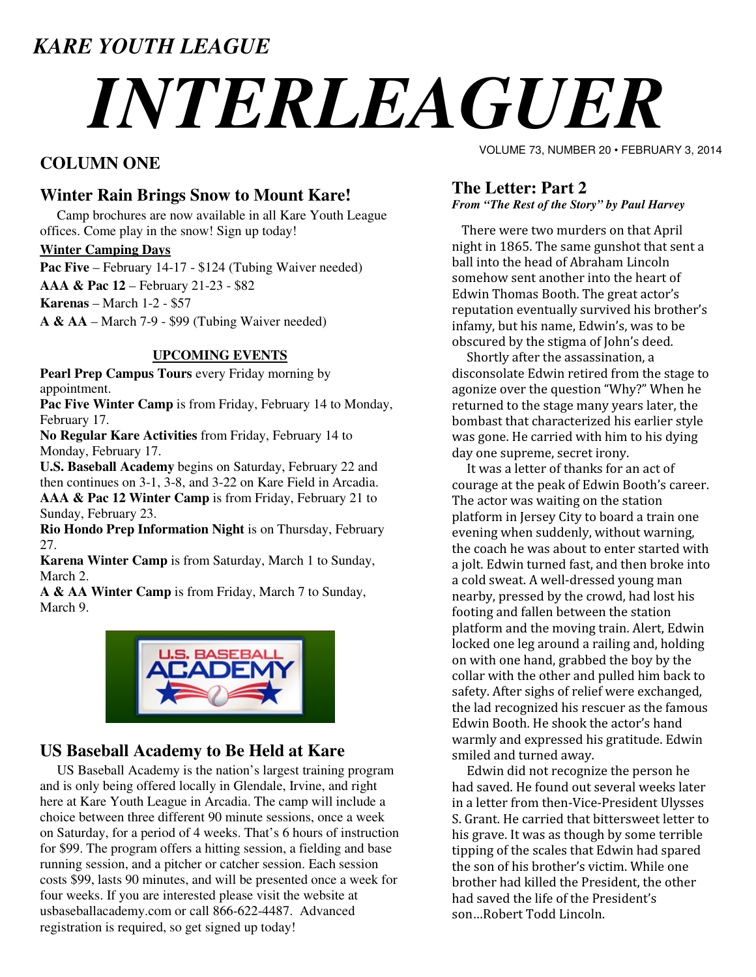## *KARE YOUTH LEAGUE*

# *INTERLEAGUER*

#### **COLUMN ONE**

#### **Winter Rain Brings Snow to Mount Kare!**

 Camp brochures are now available in all Kare Youth League offices. Come play in the snow! Sign up today!

#### **Winter Camping Days**

Pac Five – February 14-17 - \$124 (Tubing Waiver needed) **AAA & Pac 12** – February 21-23 - \$82 **Karenas** – March 1-2 - \$57

**A & AA** – March 7-9 - \$99 (Tubing Waiver needed)

#### **UPCOMING EVENTS**

**Pearl Prep Campus Tours** every Friday morning by appointment.

**Pac Five Winter Camp** is from Friday, February 14 to Monday, February 17.

**No Regular Kare Activities** from Friday, February 14 to Monday, February 17.

**U.S. Baseball Academy** begins on Saturday, February 22 and then continues on 3-1, 3-8, and 3-22 on Kare Field in Arcadia. AAA & Pac 12 Winter Camp is from Friday, February 21 to Sunday, February 23.

**Rio Hondo Prep Information Night** is on Thursday, February 27.

**Karena Winter Camp** is from Saturday, March 1 to Sunday, March 2.

**A & AA Winter Camp** is from Friday, March 7 to Sunday, March 9.



#### **US Baseball Academy to Be Held at Kare**

 US Baseball Academy is the nation's largest training program and is only being offered locally in Glendale, Irvine, and right here at Kare Youth League in Arcadia. The camp will include a choice between three different 90 minute sessions, once a week on Saturday, for a period of 4 weeks. That's 6 hours of instruction for \$99. The program offers a hitting session, a fielding and base running session, and a pitcher or catcher session. Each session costs \$99, lasts 90 minutes, and will be presented once a week for four weeks. If you are interested please visit the website at usbaseballacademy.com or call 866-622-4487. Advanced registration is required, so get signed up today!

VOLUME 73, NUMBER 20 • FEBRUARY 3, 2014

### **The Letter: Part 2**

*From "The Rest of the Story" by Paul Harvey*

 There were two murders on that April night in 1865. The same gunshot that sent a ball into the head of Abraham Lincoln somehow sent another into the heart of Edwin Thomas Booth. The great actor's reputation eventually survived his brother's infamy, but his name, Edwin's, was to be obscured by the stigma of John's deed.

 Shortly after the assassination, a disconsolate Edwin retired from the stage to agonize over the question "Why?" When he returned to the stage many years later, the bombast that characterized his earlier style was gone. He carried with him to his dying day one supreme, secret irony.

 It was a letter of thanks for an act of courage at the peak of Edwin Booth's career. The actor was waiting on the station platform in Jersey City to board a train one evening when suddenly, without warning, the coach he was about to enter started with a jolt. Edwin turned fast, and then broke into a cold sweat. A well-dressed young man nearby, pressed by the crowd, had lost his footing and fallen between the station platform and the moving train. Alert, Edwin locked one leg around a railing and, holding on with one hand, grabbed the boy by the collar with the other and pulled him back to safety. After sighs of relief were exchanged, the lad recognized his rescuer as the famous Edwin Booth. He shook the actor's hand warmly and expressed his gratitude. Edwin smiled and turned away.

 Edwin did not recognize the person he had saved. He found out several weeks later in a letter from then-Vice-President Ulysses S. Grant. He carried that bittersweet letter to his grave. It was as though by some terrible tipping of the scales that Edwin had spared the son of his brother's victim. While one brother had killed the President, the other had saved the life of the President's son…Robert Todd Lincoln.